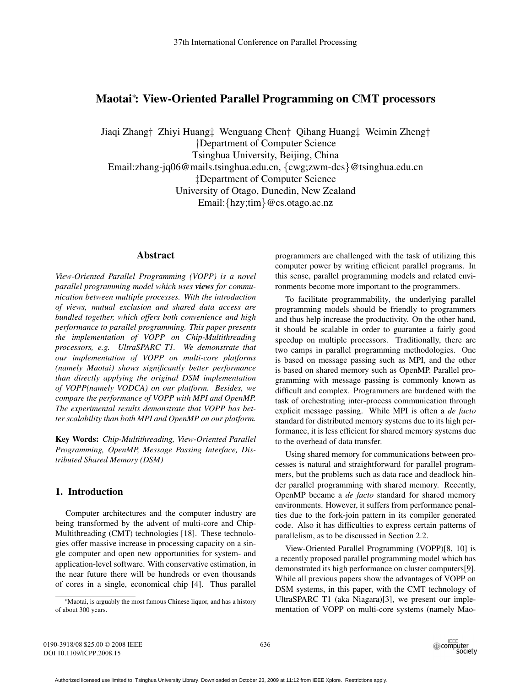# Maotai<sup>∗</sup>: View-Oriented Parallel Programming on CMT processors

Jiaqi Zhang† Zhiyi Huang‡ Wenguang Chen† Qihang Huang‡ Weimin Zheng† †Department of Computer Science Tsinghua University, Beijing, China Email:zhang-jq06@mails.tsinghua.edu.cn, {cwg;zwm-dcs}@tsinghua.edu.cn ‡Department of Computer Science University of Otago, Dunedin, New Zealand Email:{hzy;tim}@cs.otago.ac.nz

# Abstract

*View-Oriented Parallel Programming (VOPP) is a novel parallel programming model which uses views for communication between multiple processes. With the introduction of views, mutual exclusion and shared data access are bundled together, which offers both convenience and high performance to parallel programming. This paper presents the implementation of VOPP on Chip-Multithreading processors, e.g. UltraSPARC T1. We demonstrate that our implementation of VOPP on multi-core platforms (namely Maotai) shows significantly better performance than directly applying the original DSM implementation of VOPP(namely VODCA) on our platform. Besides, we compare the performance of VOPP with MPI and OpenMP. The experimental results demonstrate that VOPP has better scalability than both MPI and OpenMP on our platform.*

Key Words: *Chip-Multithreading, View-Oriented Parallel Programming, OpenMP, Message Passing Interface, Distributed Shared Memory (DSM)*

# 1. Introduction

Computer architectures and the computer industry are being transformed by the advent of multi-core and Chip-Multithreading (CMT) technologies [18]. These technologies offer massive increase in processing capacity on a single computer and open new opportunities for system- and application-level software. With conservative estimation, in the near future there will be hundreds or even thousands of cores in a single, economical chip [4]. Thus parallel programmers are challenged with the task of utilizing this computer power by writing efficient parallel programs. In this sense, parallel programming models and related environments become more important to the programmers.

To facilitate programmability, the underlying parallel programming models should be friendly to programmers and thus help increase the productivity. On the other hand, it should be scalable in order to guarantee a fairly good speedup on multiple processors. Traditionally, there are two camps in parallel programming methodologies. One is based on message passing such as MPI, and the other is based on shared memory such as OpenMP. Parallel programming with message passing is commonly known as difficult and complex. Programmers are burdened with the task of orchestrating inter-process communication through explicit message passing. While MPI is often a *de facto* standard for distributed memory systems due to its high performance, it is less efficient for shared memory systems due to the overhead of data transfer.

Using shared memory for communications between processes is natural and straightforward for parallel programmers, but the problems such as data race and deadlock hinder parallel programming with shared memory. Recently, OpenMP became a *de facto* standard for shared memory environments. However, it suffers from performance penalties due to the fork-join pattern in its compiler generated code. Also it has difficulties to express certain patterns of parallelism, as to be discussed in Section 2.2.

View-Oriented Parallel Programming (VOPP)[8, 10] is a recently proposed parallel programming model which has demonstrated its high performance on cluster computers[9]. While all previous papers show the advantages of VOPP on DSM systems, in this paper, with the CMT technology of UltraSPARC T1 (aka Niagara)[3], we present our implementation of VOPP on multi-core systems (namely Mao-

<sup>∗</sup>Maotai, is arguably the most famous Chinese liquor, and has a history of about 300 years.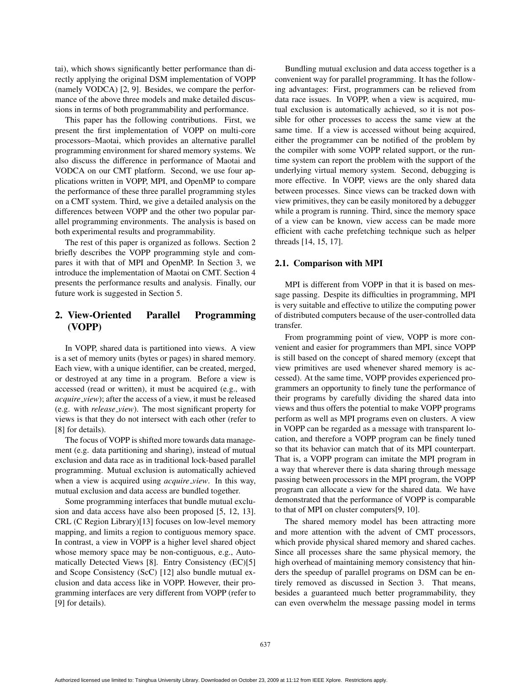tai), which shows significantly better performance than directly applying the original DSM implementation of VOPP (namely VODCA) [2, 9]. Besides, we compare the performance of the above three models and make detailed discussions in terms of both programmability and performance.

This paper has the following contributions. First, we present the first implementation of VOPP on multi-core processors–Maotai, which provides an alternative parallel programming environment for shared memory systems. We also discuss the difference in performance of Maotai and VODCA on our CMT platform. Second, we use four applications written in VOPP, MPI, and OpenMP to compare the performance of these three parallel programming styles on a CMT system. Third, we give a detailed analysis on the differences between VOPP and the other two popular parallel programming environments. The analysis is based on both experimental results and programmability.

The rest of this paper is organized as follows. Section 2 briefly describes the VOPP programming style and compares it with that of MPI and OpenMP. In Section 3, we introduce the implementation of Maotai on CMT. Section 4 presents the performance results and analysis. Finally, our future work is suggested in Section 5.

# 2. View-Oriented Parallel Programming (VOPP)

In VOPP, shared data is partitioned into views. A view is a set of memory units (bytes or pages) in shared memory. Each view, with a unique identifier, can be created, merged, or destroyed at any time in a program. Before a view is accessed (read or written), it must be acquired (e.g., with *acquire view*); after the access of a view, it must be released (e.g. with *release view*). The most significant property for views is that they do not intersect with each other (refer to [8] for details).

The focus of VOPP is shifted more towards data management (e.g. data partitioning and sharing), instead of mutual exclusion and data race as in traditional lock-based parallel programming. Mutual exclusion is automatically achieved when a view is acquired using *acquire view*. In this way, mutual exclusion and data access are bundled together.

Some programming interfaces that bundle mutual exclusion and data access have also been proposed [5, 12, 13]. CRL (C Region Library)[13] focuses on low-level memory mapping, and limits a region to contiguous memory space. In contrast, a view in VOPP is a higher level shared object whose memory space may be non-contiguous, e.g., Automatically Detected Views [8]. Entry Consistency (EC)[5] and Scope Consistency (ScC) [12] also bundle mutual exclusion and data access like in VOPP. However, their programming interfaces are very different from VOPP (refer to [9] for details).

Bundling mutual exclusion and data access together is a convenient way for parallel programming. It has the following advantages: First, programmers can be relieved from data race issues. In VOPP, when a view is acquired, mutual exclusion is automatically achieved, so it is not possible for other processes to access the same view at the same time. If a view is accessed without being acquired, either the programmer can be notified of the problem by the compiler with some VOPP related support, or the runtime system can report the problem with the support of the underlying virtual memory system. Second, debugging is more effective. In VOPP, views are the only shared data between processes. Since views can be tracked down with view primitives, they can be easily monitored by a debugger while a program is running. Third, since the memory space of a view can be known, view access can be made more efficient with cache prefetching technique such as helper threads [14, 15, 17].

#### 2.1. Comparison with MPI

MPI is different from VOPP in that it is based on message passing. Despite its difficulties in programming, MPI is very suitable and effective to utilize the computing power of distributed computers because of the user-controlled data transfer.

From programming point of view, VOPP is more convenient and easier for programmers than MPI, since VOPP is still based on the concept of shared memory (except that view primitives are used whenever shared memory is accessed). At the same time, VOPP provides experienced programmers an opportunity to finely tune the performance of their programs by carefully dividing the shared data into views and thus offers the potential to make VOPP programs perform as well as MPI programs even on clusters. A view in VOPP can be regarded as a message with transparent location, and therefore a VOPP program can be finely tuned so that its behavior can match that of its MPI counterpart. That is, a VOPP program can imitate the MPI program in a way that wherever there is data sharing through message passing between processors in the MPI program, the VOPP program can allocate a view for the shared data. We have demonstrated that the performance of VOPP is comparable to that of MPI on cluster computers[9, 10].

The shared memory model has been attracting more and more attention with the advent of CMT processors, which provide physical shared memory and shared caches. Since all processes share the same physical memory, the high overhead of maintaining memory consistency that hinders the speedup of parallel programs on DSM can be entirely removed as discussed in Section 3. That means, besides a guaranteed much better programmability, they can even overwhelm the message passing model in terms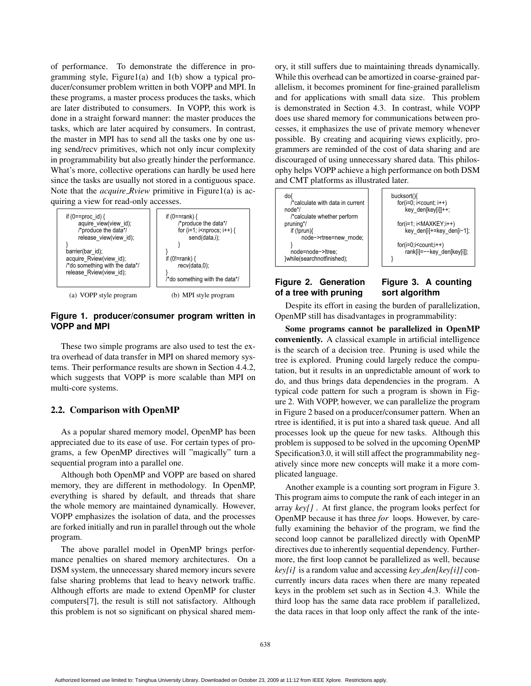of performance. To demonstrate the difference in programming style, Figure1(a) and 1(b) show a typical producer/consumer problem written in both VOPP and MPI. In these programs, a master process produces the tasks, which are later distributed to consumers. In VOPP, this work is done in a straight forward manner: the master produces the tasks, which are later acquired by consumers. In contrast, the master in MPI has to send all the tasks one by one using send/recv primitives, which not only incur complexity in programmability but also greatly hinder the performance. What's more, collective operations can hardly be used here since the tasks are usually not stored in a contiguous space. Note that the *acquire Rview* primitive in Figure1(a) is acquiring a view for read-only accesses.



# **Figure 1. producer/consumer program written in VOPP and MPI**

These two simple programs are also used to test the extra overhead of data transfer in MPI on shared memory systems. Their performance results are shown in Section 4.4.2, which suggests that VOPP is more scalable than MPI on multi-core systems.

# 2.2. Comparison with OpenMP

As a popular shared memory model, OpenMP has been appreciated due to its ease of use. For certain types of programs, a few OpenMP directives will "magically" turn a sequential program into a parallel one.

Although both OpenMP and VOPP are based on shared memory, they are different in methodology. In OpenMP, everything is shared by default, and threads that share the whole memory are maintained dynamically. However, VOPP emphasizes the isolation of data, and the processes are forked initially and run in parallel through out the whole program.

The above parallel model in OpenMP brings performance penalties on shared memory architectures. On a DSM system, the unnecessary shared memory incurs severe false sharing problems that lead to heavy network traffic. Although efforts are made to extend OpenMP for cluster computers[7], the result is still not satisfactory. Although this problem is not so significant on physical shared memory, it still suffers due to maintaining threads dynamically. While this overhead can be amortized in coarse-grained parallelism, it becomes prominent for fine-grained parallelism and for applications with small data size. This problem is demonstrated in Section 4.3. In contrast, while VOPP does use shared memory for communications between processes, it emphasizes the use of private memory whenever possible. By creating and acquiring views explicitly, programmers are reminded of the cost of data sharing and are discouraged of using unnecessary shared data. This philosophy helps VOPP achieve a high performance on both DSM and CMT platforms as illustrated later.



### **Figure 2. Generation of a tree with pruning**

# **Figure 3. A counting sort algorithm**

Despite its effort in easing the burden of parallelization, OpenMP still has disadvantages in programmability:

Some programs cannot be parallelized in OpenMP conveniently. A classical example in artificial intelligence is the search of a decision tree. Pruning is used while the tree is explored. Pruning could largely reduce the computation, but it results in an unpredictable amount of work to do, and thus brings data dependencies in the program. A typical code pattern for such a program is shown in Figure 2. With VOPP, however, we can parallelize the program in Figure 2 based on a producer/consumer pattern. When an rtree is identified, it is put into a shared task queue. And all processes look up the queue for new tasks. Although this problem is supposed to be solved in the upcoming OpenMP Specification3.0, it will still affect the programmability negatively since more new concepts will make it a more complicated language.

Another example is a counting sort program in Figure 3. This program aims to compute the rank of each integer in an array *key[]* . At first glance, the program looks perfect for OpenMP because it has three *for* loops. However, by carefully examining the behavior of the program, we find the second loop cannot be parallelized directly with OpenMP directives due to inherently sequential dependency. Furthermore, the first loop cannot be parallelized as well, because *key[i]* is a random value and accessing *key den[key[i]]* concurrently incurs data races when there are many repeated keys in the problem set such as in Section 4.3. While the third loop has the same data race problem if parallelized, the data races in that loop only affect the rank of the inte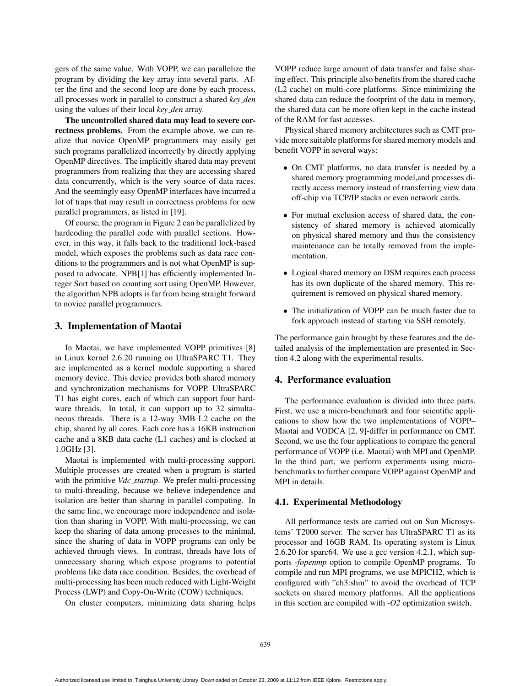gers of the same value. With VOPP, we can parallelize the program by dividing the key array into several parts. After the first and the second loop are done by each process, all processes work in parallel to construct a shared *key den* using the values of their local *key den* array.

The uncontrolled shared data may lead to severe correctness problems. From the example above, we can realize that novice OpenMP programmers may easily get such programs parallelized incorrectly by directly applying OpenMP directives. The implicitly shared data may prevent programmers from realizing that they are accessing shared data concurrently, which is the very source of data races. And the seemingly easy OpenMP interfaces have incurred a lot of traps that may result in correctness problems for new parallel programmers, as listed in [19].

Of course, the program in Figure 2 can be parallelized by hardcoding the parallel code with parallel sections. However, in this way, it falls back to the traditional lock-based model, which exposes the problems such as data race conditions to the programmers and is not what OpenMP is supposed to advocate. NPB[1] has efficiently implemented Integer Sort based on counting sort using OpenMP. However, the algorithm NPB adopts is far from being straight forward to novice parallel programmers.

# 3. Implementation of Maotai

In Maotai, we have implemented VOPP primitives [8] in Linux kernel 2.6.20 running on UltraSPARC T1. They are implemented as a kernel module supporting a shared memory device. This device provides both shared memory and synchronization mechanisms for VOPP. UltraSPARC T1 has eight cores, each of which can support four hardware threads. In total, it can support up to 32 simultaneous threads. There is a 12-way 3MB L2 cache on the chip, shared by all cores. Each core has a 16KB instruction cache and a 8KB data cache (L1 caches) and is clocked at 1.0GHz [3].

Maotai is implemented with multi-processing support. Multiple processes are created when a program is started with the primitive *Vdc startup*. We prefer multi-processing to multi-threading, because we believe independence and isolation are better than sharing in parallel computing. In the same line, we encourage more independence and isolation than sharing in VOPP. With multi-processing, we can keep the sharing of data among processes to the minimal, since the sharing of data in VOPP programs can only be achieved through views. In contrast, threads have lots of unnecessary sharing which expose programs to potential problems like data race condition. Besides, the overhead of multi-processing has been much reduced with Light-Weight Process (LWP) and Copy-On-Write (COW) techniques.

On cluster computers, minimizing data sharing helps

VOPP reduce large amount of data transfer and false sharing effect. This principle also benefits from the shared cache (L2 cache) on multi-core platforms. Since minimizing the shared data can reduce the footprint of the data in memory, the shared data can be more often kept in the cache instead of the RAM for fast accesses.

Physical shared memory architectures such as CMT provide more suitable platforms for shared memory models and benefit VOPP in several ways:

- On CMT platforms, no data transfer is needed by a shared memory programming model,and processes directly access memory instead of transferring view data off-chip via TCP/IP stacks or even network cards.
- For mutual exclusion access of shared data, the consistency of shared memory is achieved atomically on physical shared memory and thus the consistency maintenance can be totally removed from the implementation.
- Logical shared memory on DSM requires each process has its own duplicate of the shared memory. This requirement is removed on physical shared memory.
- The initialization of VOPP can be much faster due to fork approach instead of starting via SSH remotely.

The performance gain brought by these features and the detailed analysis of the implementation are presented in Section 4.2 along with the experimental results.

# 4. Performance evaluation

The performance evaluation is divided into three parts. First, we use a micro-benchmark and four scientific applications to show how the two implementations of VOPP– Maotai and VODCA [2, 9]-differ in performance on CMT. Second, we use the four applications to compare the general performance of VOPP (i.e. Maotai) with MPI and OpenMP. In the third part, we perform experiments using microbenchmarks to further compare VOPP against OpenMP and MPI in details.

#### 4.1. Experimental Methodology

All performance tests are carried out on Sun Microsystems' T2000 server. The server has UltraSPARC T1 as its processor and 16GB RAM. Its operating system is Linux 2.6.20 for sparc64. We use a gcc version 4.2.1, which supports *-fopenmp* option to compile OpenMP programs. To compile and run MPI programs, we use MPICH2, which is configured with "ch3:shm" to avoid the overhead of TCP sockets on shared memory platforms. All the applications in this section are compiled with *-O2* optimization switch.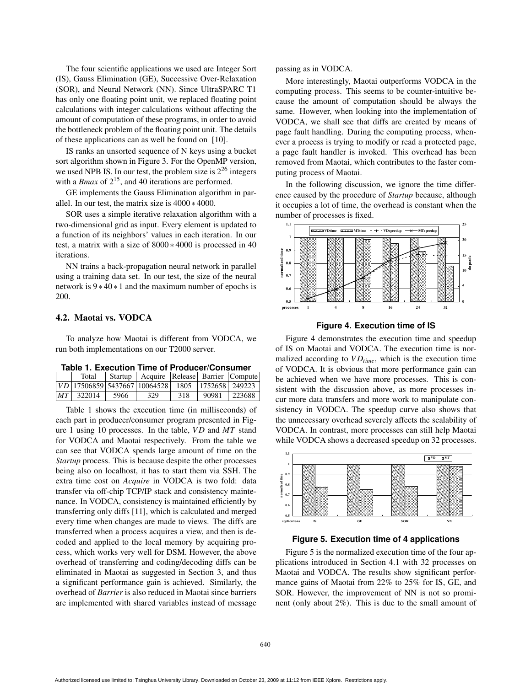The four scientific applications we used are Integer Sort (IS), Gauss Elimination (GE), Successive Over-Relaxation (SOR), and Neural Network (NN). Since UltraSPARC T1 has only one floating point unit, we replaced floating point calculations with integer calculations without affecting the amount of computation of these programs, in order to avoid the bottleneck problem of the floating point unit. The details of these applications can as well be found on [10].

IS ranks an unsorted sequence of N keys using a bucket sort algorithm shown in Figure 3. For the OpenMP version, we used NPB IS. In our test, the problem size is  $2^{26}$  integers with a *Bmax* of  $2^{15}$ , and 40 iterations are performed.

GE implements the Gauss Elimination algorithm in parallel. In our test, the matrix size is 4000 ∗ 4000.

SOR uses a simple iterative relaxation algorithm with a two-dimensional grid as input. Every element is updated to a function of its neighbors' values in each iteration. In our test, a matrix with a size of 8000 ∗ 4000 is processed in 40 iterations.

NN trains a back-propagation neural network in parallel using a training data set. In our test, the size of the neural network is 9 ∗ 40 ∗ 1 and the maximum number of epochs is 200.

# 4.2. Maotai vs. VODCA

To analyze how Maotai is different from VODCA, we run both implementations on our T2000 server.

|  |  |  | Table 1. Execution Time of Producer/Consumer |  |
|--|--|--|----------------------------------------------|--|
|  |  |  |                                              |  |

|               |      |                                                      |     | Startup   Acquire   Release   Barrier   Compute |
|---------------|------|------------------------------------------------------|-----|-------------------------------------------------|
|               |      | $ VD $ 17506859 5437667 10064528 1805 1752658 249223 |     |                                                 |
| $ MT $ 322014 | 5966 | 329                                                  | 318 | 90981 223688                                    |

Table 1 shows the execution time (in milliseconds) of each part in producer/consumer program presented in Figure 1 using 10 processes. In the table, *V D* and *MT* stand for VODCA and Maotai respectively. From the table we can see that VODCA spends large amount of time on the *Startup* process. This is because despite the other processes being also on localhost, it has to start them via SSH. The extra time cost on *Acquire* in VODCA is two fold: data transfer via off-chip TCP/IP stack and consistency maintenance. In VODCA, consistency is maintained efficiently by transferring only diffs [11], which is calculated and merged every time when changes are made to views. The diffs are transferred when a process acquires a view, and then is decoded and applied to the local memory by acquiring process, which works very well for DSM. However, the above overhead of transferring and coding/decoding diffs can be eliminated in Maotai as suggested in Section 3, and thus a significant performance gain is achieved. Similarly, the overhead of *Barrier* is also reduced in Maotai since barriers are implemented with shared variables instead of message

passing as in VODCA.

More interestingly, Maotai outperforms VODCA in the computing process. This seems to be counter-intuitive because the amount of computation should be always the same. However, when looking into the implementation of VODCA, we shall see that diffs are created by means of page fault handling. During the computing process, whenever a process is trying to modify or read a protected page, a page fault handler is invoked. This overhead has been removed from Maotai, which contributes to the faster computing process of Maotai.

In the following discussion, we ignore the time difference caused by the procedure of *Startup* because, although it occupies a lot of time, the overhead is constant when the number of processes is fixed.





Figure 4 demonstrates the execution time and speedup of IS on Maotai and VODCA. The execution time is normalized according to  $VD_{time}$ , which is the execution time of VODCA. It is obvious that more performance gain can be achieved when we have more processes. This is consistent with the discussion above, as more processes incur more data transfers and more work to manipulate consistency in VODCA. The speedup curve also shows that the unnecessary overhead severely affects the scalability of VODCA. In contrast, more processes can still help Maotai while VODCA shows a decreased speedup on 32 processes.



### **Figure 5. Execution time of 4 applications**

Figure 5 is the normalized execution time of the four applications introduced in Section 4.1 with 32 processes on Maotai and VODCA. The results show significant performance gains of Maotai from 22% to 25% for IS, GE, and SOR. However, the improvement of NN is not so prominent (only about 2%). This is due to the small amount of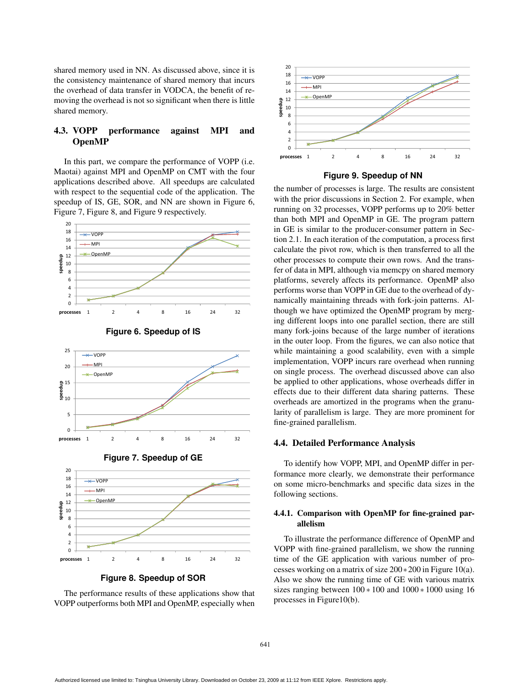shared memory used in NN. As discussed above, since it is the consistency maintenance of shared memory that incurs the overhead of data transfer in VODCA, the benefit of removing the overhead is not so significant when there is little shared memory.

# 4.3. VOPP performance against MPI and OpenMP

In this part, we compare the performance of VOPP (i.e. Maotai) against MPI and OpenMP on CMT with the four applications described above. All speedups are calculated with respect to the sequential code of the application. The speedup of IS, GE, SOR, and NN are shown in Figure 6, Figure 7, Figure 8, and Figure 9 respectively.





**Figure 6. Speedup of IS**





**Figure 8. Speedup of SOR**

The performance results of these applications show that VOPP outperforms both MPI and OpenMP, especially when



**Figure 9. Speedup of NN**

the number of processes is large. The results are consistent with the prior discussions in Section 2. For example, when running on 32 processes, VOPP performs up to 20% better than both MPI and OpenMP in GE. The program pattern in GE is similar to the producer-consumer pattern in Section 2.1. In each iteration of the computation, a process first calculate the pivot row, which is then transferred to all the other processes to compute their own rows. And the transfer of data in MPI, although via memcpy on shared memory platforms, severely affects its performance. OpenMP also performs worse than VOPP in GE due to the overhead of dynamically maintaining threads with fork-join patterns. Although we have optimized the OpenMP program by merging different loops into one parallel section, there are still many fork-joins because of the large number of iterations in the outer loop. From the figures, we can also notice that while maintaining a good scalability, even with a simple implementation, VOPP incurs rare overhead when running on single process. The overhead discussed above can also be applied to other applications, whose overheads differ in effects due to their different data sharing patterns. These overheads are amortized in the programs when the granularity of parallelism is large. They are more prominent for fine-grained parallelism.

#### 4.4. Detailed Performance Analysis

To identify how VOPP, MPI, and OpenMP differ in performance more clearly, we demonstrate their performance on some micro-benchmarks and specific data sizes in the following sections.

### 4.4.1. Comparison with OpenMP for fine-grained parallelism

To illustrate the performance difference of OpenMP and VOPP with fine-grained parallelism, we show the running time of the GE application with various number of processes working on a matrix of size 200∗200 in Figure 10(a). Also we show the running time of GE with various matrix sizes ranging between  $100 * 100$  and  $1000 * 1000$  using 16 processes in Figure10(b).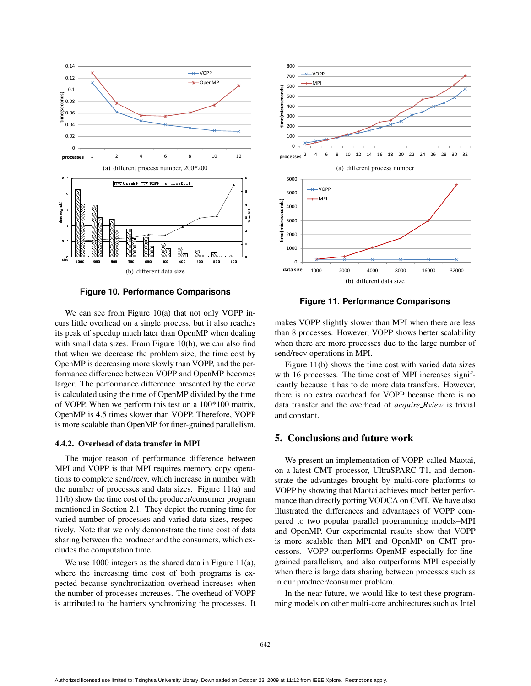

**Figure 10. Performance Comparisons**

We can see from Figure 10(a) that not only VOPP incurs little overhead on a single process, but it also reaches its peak of speedup much later than OpenMP when dealing with small data sizes. From Figure 10(b), we can also find that when we decrease the problem size, the time cost by OpenMP is decreasing more slowly than VOPP, and the performance difference between VOPP and OpenMP becomes larger. The performance difference presented by the curve is calculated using the time of OpenMP divided by the time of VOPP. When we perform this test on a 100\*100 matrix, OpenMP is 4.5 times slower than VOPP. Therefore, VOPP is more scalable than OpenMP for finer-grained parallelism.

### 4.4.2. Overhead of data transfer in MPI

The major reason of performance difference between MPI and VOPP is that MPI requires memory copy operations to complete send/recv, which increase in number with the number of processes and data sizes. Figure 11(a) and 11(b) show the time cost of the producer/consumer program mentioned in Section 2.1. They depict the running time for varied number of processes and varied data sizes, respectively. Note that we only demonstrate the time cost of data sharing between the producer and the consumers, which excludes the computation time.

We use 1000 integers as the shared data in Figure 11(a), where the increasing time cost of both programs is expected because synchronization overhead increases when the number of processes increases. The overhead of VOPP is attributed to the barriers synchronizing the processes. It



**Figure 11. Performance Comparisons**

makes VOPP slightly slower than MPI when there are less than 8 processes. However, VOPP shows better scalability when there are more processes due to the large number of send/recv operations in MPI.

Figure 11(b) shows the time cost with varied data sizes with 16 processes. The time cost of MPI increases significantly because it has to do more data transfers. However, there is no extra overhead for VOPP because there is no data transfer and the overhead of *acquire Rview* is trivial and constant.

# 5. Conclusions and future work

We present an implementation of VOPP, called Maotai, on a latest CMT processor, UltraSPARC T1, and demonstrate the advantages brought by multi-core platforms to VOPP by showing that Maotai achieves much better performance than directly porting VODCA on CMT. We have also illustrated the differences and advantages of VOPP compared to two popular parallel programming models–MPI and OpenMP. Our experimental results show that VOPP is more scalable than MPI and OpenMP on CMT processors. VOPP outperforms OpenMP especially for finegrained parallelism, and also outperforms MPI especially when there is large data sharing between processes such as in our producer/consumer problem.

In the near future, we would like to test these programming models on other multi-core architectures such as Intel